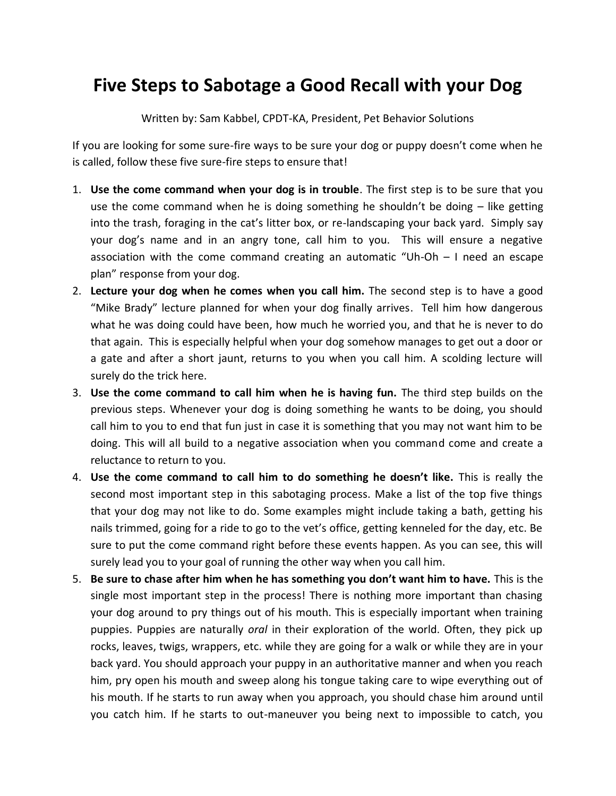## **Five Steps to Sabotage a Good Recall with your Dog**

Written by: Sam Kabbel, CPDT-KA, President, Pet Behavior Solutions

If you are looking for some sure-fire ways to be sure your dog or puppy doesn't come when he is called, follow these five sure-fire steps to ensure that!

- 1. **Use the come command when your dog is in trouble**. The first step is to be sure that you use the come command when he is doing something he shouldn't be doing  $-$  like getting into the trash, foraging in the cat's litter box, or re-landscaping your back yard. Simply say your dog's name and in an angry tone, call him to you. This will ensure a negative association with the come command creating an automatic "Uh-Oh – I need an escape plan" response from your dog.
- 2. **Lecture your dog when he comes when you call him.** The second step is to have a good "Mike Brady" lecture planned for when your dog finally arrives. Tell him how dangerous what he was doing could have been, how much he worried you, and that he is never to do that again. This is especially helpful when your dog somehow manages to get out a door or a gate and after a short jaunt, returns to you when you call him. A scolding lecture will surely do the trick here.
- 3. **Use the come command to call him when he is having fun.** The third step builds on the previous steps. Whenever your dog is doing something he wants to be doing, you should call him to you to end that fun just in case it is something that you may not want him to be doing. This will all build to a negative association when you command come and create a reluctance to return to you.
- 4. **Use the come command to call him to do something he doesn't like.** This is really the second most important step in this sabotaging process. Make a list of the top five things that your dog may not like to do. Some examples might include taking a bath, getting his nails trimmed, going for a ride to go to the vet's office, getting kenneled for the day, etc. Be sure to put the come command right before these events happen. As you can see, this will surely lead you to your goal of running the other way when you call him.
- 5. **Be sure to chase after him when he has something you don't want him to have.** This is the single most important step in the process! There is nothing more important than chasing your dog around to pry things out of his mouth. This is especially important when training puppies. Puppies are naturally *oral* in their exploration of the world. Often, they pick up rocks, leaves, twigs, wrappers, etc. while they are going for a walk or while they are in your back yard. You should approach your puppy in an authoritative manner and when you reach him, pry open his mouth and sweep along his tongue taking care to wipe everything out of his mouth. If he starts to run away when you approach, you should chase him around until you catch him. If he starts to out-maneuver you being next to impossible to catch, you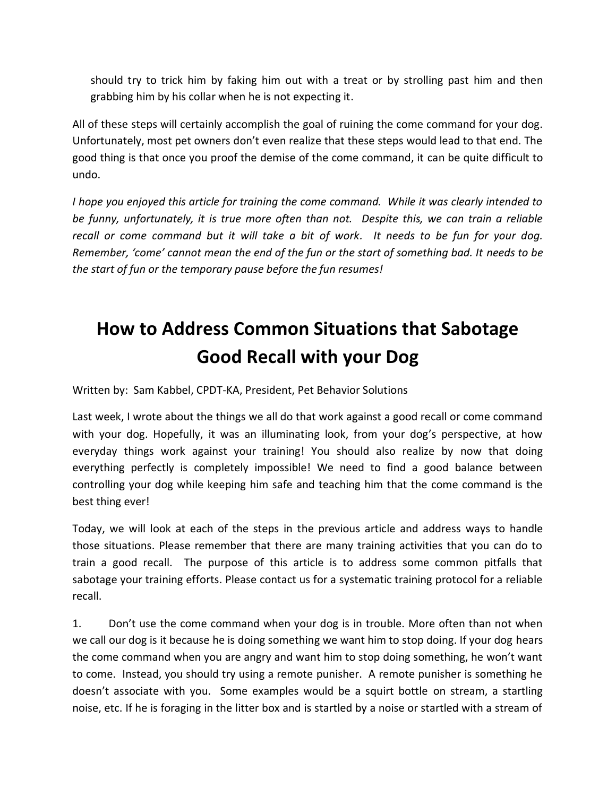should try to trick him by faking him out with a treat or by strolling past him and then grabbing him by his collar when he is not expecting it.

All of these steps will certainly accomplish the goal of ruining the come command for your dog. Unfortunately, most pet owners don't even realize that these steps would lead to that end. The good thing is that once you proof the demise of the come command, it can be quite difficult to undo.

*I hope you enjoyed this article for training the come command. While it was clearly intended to be funny, unfortunately, it is true more often than not. Despite this, we can train a reliable recall or come command but it will take a bit of work. It needs to be fun for your dog. Remember, 'come' cannot mean the end of the fun or the start of something bad. It needs to be the start of fun or the temporary pause before the fun resumes!* 

## **How to Address Common Situations that Sabotage Good Recall with your Dog**

Written by: Sam Kabbel, CPDT-KA, President, Pet Behavior Solutions

Last week, I wrote about the things we all do that work against a good recall or come command with your dog. Hopefully, it was an illuminating look, from your dog's perspective, at how everyday things work against your training! You should also realize by now that doing everything perfectly is completely impossible! We need to find a good balance between controlling your dog while keeping him safe and teaching him that the come command is the best thing ever!

Today, we will look at each of the steps in the previous article and address ways to handle those situations. Please remember that there are many training activities that you can do to train a good recall. The purpose of this article is to address some common pitfalls that sabotage your training efforts. Please contact us for a systematic training protocol for a reliable recall.

1. Don't use the come command when your dog is in trouble. More often than not when we call our dog is it because he is doing something we want him to stop doing. If your dog hears the come command when you are angry and want him to stop doing something, he won't want to come. Instead, you should try using a remote punisher. A remote punisher is something he doesn't associate with you. Some examples would be a squirt bottle on stream, a startling noise, etc. If he is foraging in the litter box and is startled by a noise or startled with a stream of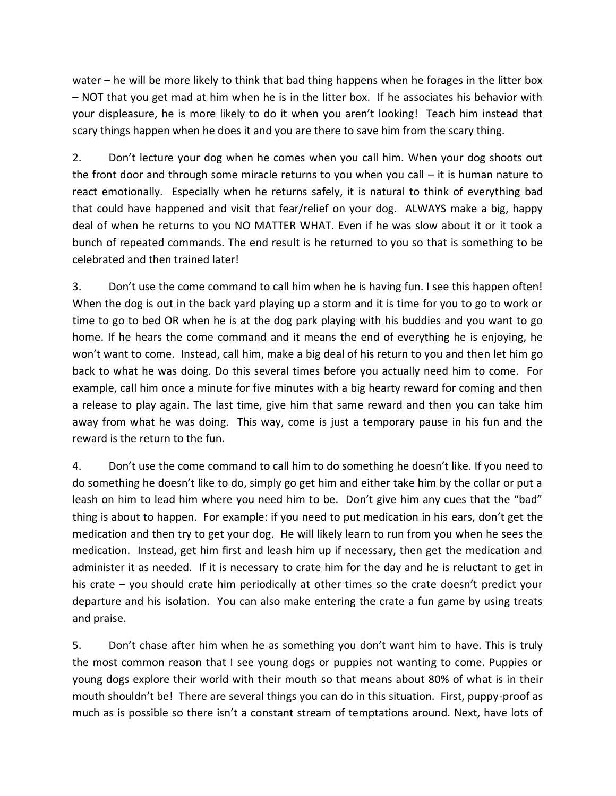water – he will be more likely to think that bad thing happens when he forages in the litter box – NOT that you get mad at him when he is in the litter box. If he associates his behavior with your displeasure, he is more likely to do it when you aren't looking! Teach him instead that scary things happen when he does it and you are there to save him from the scary thing.

2. Don't lecture your dog when he comes when you call him. When your dog shoots out the front door and through some miracle returns to you when you call – it is human nature to react emotionally. Especially when he returns safely, it is natural to think of everything bad that could have happened and visit that fear/relief on your dog. ALWAYS make a big, happy deal of when he returns to you NO MATTER WHAT. Even if he was slow about it or it took a bunch of repeated commands. The end result is he returned to you so that is something to be celebrated and then trained later!

3. Don't use the come command to call him when he is having fun. I see this happen often! When the dog is out in the back yard playing up a storm and it is time for you to go to work or time to go to bed OR when he is at the dog park playing with his buddies and you want to go home. If he hears the come command and it means the end of everything he is enjoying, he won't want to come. Instead, call him, make a big deal of his return to you and then let him go back to what he was doing. Do this several times before you actually need him to come. For example, call him once a minute for five minutes with a big hearty reward for coming and then a release to play again. The last time, give him that same reward and then you can take him away from what he was doing. This way, come is just a temporary pause in his fun and the reward is the return to the fun.

4. Don't use the come command to call him to do something he doesn't like. If you need to do something he doesn't like to do, simply go get him and either take him by the collar or put a leash on him to lead him where you need him to be. Don't give him any cues that the "bad" thing is about to happen. For example: if you need to put medication in his ears, don't get the medication and then try to get your dog. He will likely learn to run from you when he sees the medication. Instead, get him first and leash him up if necessary, then get the medication and administer it as needed. If it is necessary to crate him for the day and he is reluctant to get in his crate – you should crate him periodically at other times so the crate doesn't predict your departure and his isolation. You can also make entering the crate a fun game by using treats and praise.

5. Don't chase after him when he as something you don't want him to have. This is truly the most common reason that I see young dogs or puppies not wanting to come. Puppies or young dogs explore their world with their mouth so that means about 80% of what is in their mouth shouldn't be! There are several things you can do in this situation. First, puppy-proof as much as is possible so there isn't a constant stream of temptations around. Next, have lots of